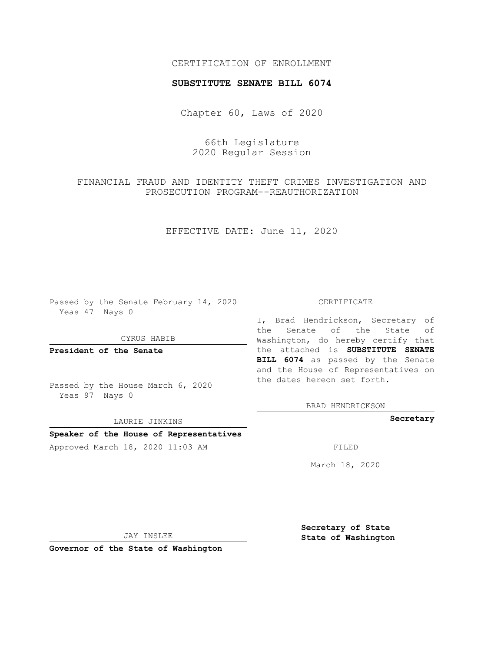# CERTIFICATION OF ENROLLMENT

## **SUBSTITUTE SENATE BILL 6074**

Chapter 60, Laws of 2020

66th Legislature 2020 Regular Session

FINANCIAL FRAUD AND IDENTITY THEFT CRIMES INVESTIGATION AND PROSECUTION PROGRAM--REAUTHORIZATION

EFFECTIVE DATE: June 11, 2020

Passed by the Senate February 14, 2020 Yeas 47 Nays 0

CYRUS HABIB

**President of the Senate**

Passed by the House March 6, 2020 Yeas 97 Nays 0

LAURIE JINKINS

## **Speaker of the House of Representatives**

Approved March 18, 2020 11:03 AM FILED

#### CERTIFICATE

I, Brad Hendrickson, Secretary of the Senate of the State of Washington, do hereby certify that the attached is **SUBSTITUTE SENATE BILL 6074** as passed by the Senate and the House of Representatives on the dates hereon set forth.

BRAD HENDRICKSON

**Secretary**

March 18, 2020

JAY INSLEE

**Governor of the State of Washington**

**Secretary of State State of Washington**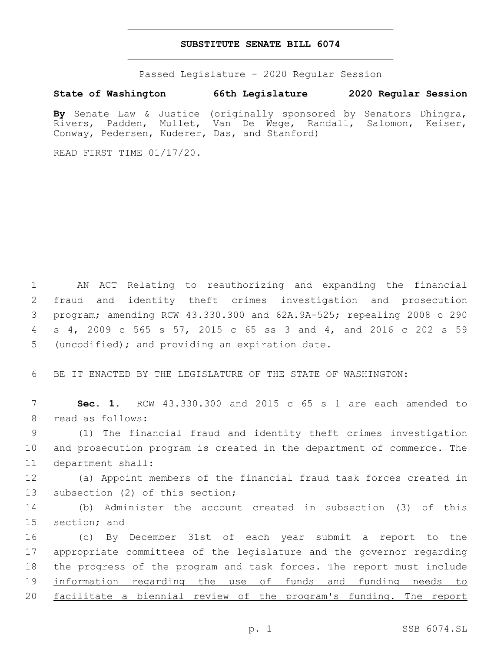## **SUBSTITUTE SENATE BILL 6074**

Passed Legislature - 2020 Regular Session

**State of Washington 66th Legislature 2020 Regular Session**

**By** Senate Law & Justice (originally sponsored by Senators Dhingra, Rivers, Padden, Mullet, Van De Wege, Randall, Salomon, Keiser, Conway, Pedersen, Kuderer, Das, and Stanford)

READ FIRST TIME 01/17/20.

 AN ACT Relating to reauthorizing and expanding the financial fraud and identity theft crimes investigation and prosecution program; amending RCW 43.330.300 and 62A.9A-525; repealing 2008 c 290 s 4, 2009 c 565 s 57, 2015 c 65 ss 3 and 4, and 2016 c 202 s 59 5 (uncodified); and providing an expiration date.

6 BE IT ENACTED BY THE LEGISLATURE OF THE STATE OF WASHINGTON:

7 **Sec. 1.** RCW 43.330.300 and 2015 c 65 s 1 are each amended to 8 read as follows:

9 (1) The financial fraud and identity theft crimes investigation 10 and prosecution program is created in the department of commerce. The 11 department shall:

12 (a) Appoint members of the financial fraud task forces created in 13 subsection (2) of this section;

14 (b) Administer the account created in subsection (3) of this 15 section; and

 (c) By December 31st of each year submit a report to the appropriate committees of the legislature and the governor regarding the progress of the program and task forces. The report must include information regarding the use of funds and funding needs to 20 facilitate a biennial review of the program's funding. The report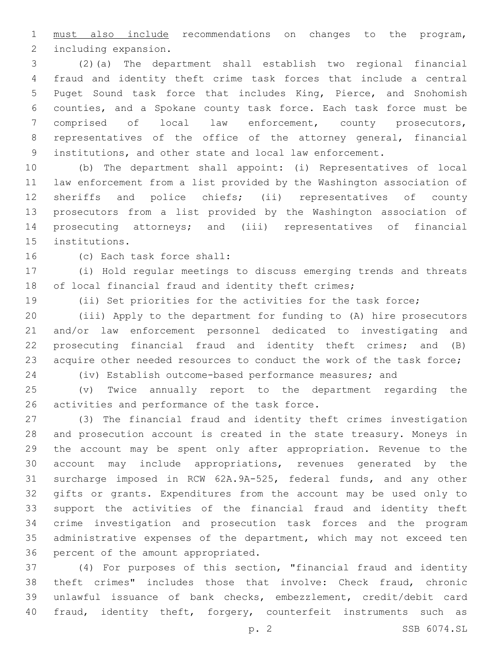must also include recommendations on changes to the program, 2 including expansion.

 (2)(a) The department shall establish two regional financial fraud and identity theft crime task forces that include a central Puget Sound task force that includes King, Pierce, and Snohomish counties, and a Spokane county task force. Each task force must be comprised of local law enforcement, county prosecutors, representatives of the office of the attorney general, financial institutions, and other state and local law enforcement.

 (b) The department shall appoint: (i) Representatives of local law enforcement from a list provided by the Washington association of sheriffs and police chiefs; (ii) representatives of county prosecutors from a list provided by the Washington association of prosecuting attorneys; and (iii) representatives of financial 15 institutions.

16 (c) Each task force shall:

 (i) Hold regular meetings to discuss emerging trends and threats 18 of local financial fraud and identity theft crimes;

(ii) Set priorities for the activities for the task force;

 (iii) Apply to the department for funding to (A) hire prosecutors and/or law enforcement personnel dedicated to investigating and prosecuting financial fraud and identity theft crimes; and (B) 23 acquire other needed resources to conduct the work of the task force;

(iv) Establish outcome-based performance measures; and

 (v) Twice annually report to the department regarding the 26 activities and performance of the task force.

 (3) The financial fraud and identity theft crimes investigation and prosecution account is created in the state treasury. Moneys in the account may be spent only after appropriation. Revenue to the account may include appropriations, revenues generated by the surcharge imposed in RCW 62A.9A-525, federal funds, and any other gifts or grants. Expenditures from the account may be used only to support the activities of the financial fraud and identity theft crime investigation and prosecution task forces and the program administrative expenses of the department, which may not exceed ten 36 percent of the amount appropriated.

 (4) For purposes of this section, "financial fraud and identity theft crimes" includes those that involve: Check fraud, chronic unlawful issuance of bank checks, embezzlement, credit/debit card 40 fraud, identity theft, forgery, counterfeit instruments such as

p. 2 SSB 6074.SL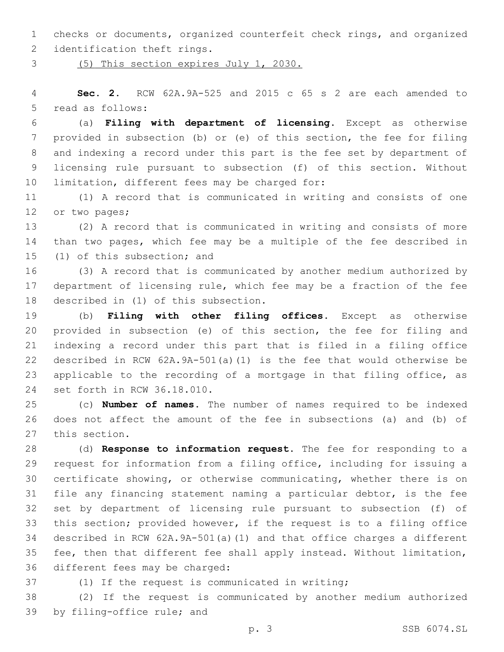checks or documents, organized counterfeit check rings, and organized

2 identification theft rings.

(5) This section expires July 1, 2030.

 **Sec. 2.** RCW 62A.9A-525 and 2015 c 65 s 2 are each amended to 5 read as follows:

 (a) **Filing with department of licensing.** Except as otherwise provided in subsection (b) or (e) of this section, the fee for filing and indexing a record under this part is the fee set by department of licensing rule pursuant to subsection (f) of this section. Without 10 limitation, different fees may be charged for:

 (1) A record that is communicated in writing and consists of one 12 or two pages;

 (2) A record that is communicated in writing and consists of more than two pages, which fee may be a multiple of the fee described in 15 (1) of this subsection; and

 (3) A record that is communicated by another medium authorized by department of licensing rule, which fee may be a fraction of the fee 18 described in (1) of this subsection.

 (b) **Filing with other filing offices.** Except as otherwise provided in subsection (e) of this section, the fee for filing and indexing a record under this part that is filed in a filing office described in RCW 62A.9A-501(a)(1) is the fee that would otherwise be applicable to the recording of a mortgage in that filing office, as 24 set forth in RCW 36.18.010.

 (c) **Number of names.** The number of names required to be indexed does not affect the amount of the fee in subsections (a) and (b) of 27 this section.

 (d) **Response to information request.** The fee for responding to a request for information from a filing office, including for issuing a certificate showing, or otherwise communicating, whether there is on file any financing statement naming a particular debtor, is the fee set by department of licensing rule pursuant to subsection (f) of this section; provided however, if the request is to a filing office described in RCW 62A.9A-501(a)(1) and that office charges a different fee, then that different fee shall apply instead. Without limitation, 36 different fees may be charged:

(1) If the request is communicated in writing;

 (2) If the request is communicated by another medium authorized 39 by filing-office rule; and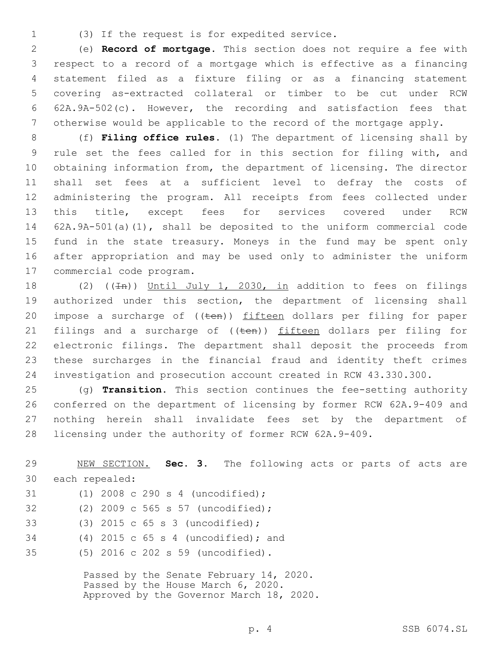- 
- (3) If the request is for expedited service.1

 (e) **Record of mortgage.** This section does not require a fee with respect to a record of a mortgage which is effective as a financing statement filed as a fixture filing or as a financing statement covering as-extracted collateral or timber to be cut under RCW 62A.9A-502(c). However, the recording and satisfaction fees that otherwise would be applicable to the record of the mortgage apply.

 (f) **Filing office rules.** (1) The department of licensing shall by rule set the fees called for in this section for filing with, and obtaining information from, the department of licensing. The director shall set fees at a sufficient level to defray the costs of administering the program. All receipts from fees collected under this title, except fees for services covered under RCW 62A.9A-501(a)(1), shall be deposited to the uniform commercial code fund in the state treasury. Moneys in the fund may be spent only after appropriation and may be used only to administer the uniform 17 commercial code program.

18 (2) ( $(\pm n)$ ) Until July 1, 2030, in addition to fees on filings authorized under this section, the department of licensing shall 20 impose a surcharge of  $((\text{ten}))$  fifteen dollars per filing for paper 21 filings and a surcharge of  $((\text{ten}))$  fifteen dollars per filing for electronic filings. The department shall deposit the proceeds from these surcharges in the financial fraud and identity theft crimes investigation and prosecution account created in RCW 43.330.300.

 (g) **Transition.** This section continues the fee-setting authority conferred on the department of licensing by former RCW 62A.9-409 and nothing herein shall invalidate fees set by the department of licensing under the authority of former RCW 62A.9-409.

 NEW SECTION. **Sec. 3.** The following acts or parts of acts are each repealed:

- 31 (1) 2008 c 290 s 4 (uncodified);
- 32 (2) 2009 c 565 s 57 (uncodified);
- (3) 2015 c 65 s 3 (uncodified);33
- 34 (4) 2015 c 65 s 4 (uncodified); and
- (5) 2016 c 202 s 59 (uncodified).35

Passed by the Senate February 14, 2020. Passed by the House March 6, 2020. Approved by the Governor March 18, 2020.